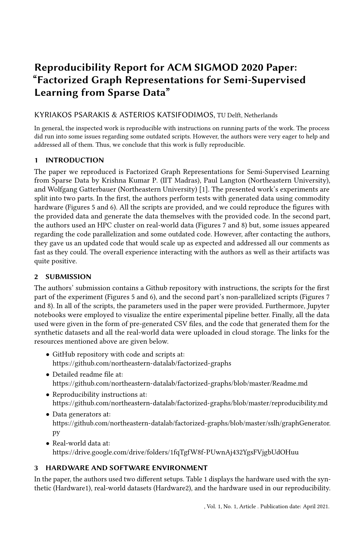# Reproducibility Report for ACM SIGMOD 2020 Paper: "Factorized Graph Representations for Semi-Supervised Learning from Sparse Data"

## KYRIAKOS PSARAKIS & ASTERIOS KATSIFODIMOS, TU Delft, Netherlands

In general, the inspected work is reproducible with instructions on running parts of the work. The process did run into some issues regarding some outdated scripts. However, the authors were very eager to help and addressed all of them. Thus, we conclude that this work is fully reproducible.

## 1 INTRODUCTION

The paper we reproduced is Factorized Graph Representations for Semi-Supervised Learning from Sparse Data by Krishna Kumar P. (IIT Madras), Paul Langton (Northeastern University), and Wolfgang Gatterbauer (Northeastern University) [\[1\]](#page-1-0). The presented work's experiments are split into two parts. In the first, the authors perform tests with generated data using commodity hardware (Figures 5 and 6). All the scripts are provided, and we could reproduce the figures with the provided data and generate the data themselves with the provided code. In the second part, the authors used an HPC cluster on real-world data (Figures 7 and 8) but, some issues appeared regarding the code parallelization and some outdated code. However, after contacting the authors, they gave us an updated code that would scale up as expected and addressed all our comments as fast as they could. The overall experience interacting with the authors as well as their artifacts was quite positive.

## 2 SUBMISSION

The authors' submission contains a Github repository with instructions, the scripts for the first part of the experiment (Figures 5 and 6), and the second part's non-parallelized scripts (Figures 7 and 8). In all of the scripts, the parameters used in the paper were provided. Furthermore, Jupyter notebooks were employed to visualize the entire experimental pipeline better. Finally, all the data used were given in the form of pre-generated CSV files, and the code that generated them for the synthetic datasets and all the real-world data were uploaded in cloud storage. The links for the resources mentioned above are given below.

- GitHub repository with code and scripts at: <https://github.com/northeastern-datalab/factorized-graphs>
- Detailed readme file at: <https://github.com/northeastern-datalab/factorized-graphs/blob/master/Readme.md>
- Reproducibility instructions at: <https://github.com/northeastern-datalab/factorized-graphs/blob/master/reproducibility.md>
- Data generators at: [https://github.com/northeastern-datalab/factorized-graphs/blob/master/sslh/graphGenerator.](https://github.com/northeastern-datalab/factorized-graphs/blob/master/sslh/graphGenerator.py) [py](https://github.com/northeastern-datalab/factorized-graphs/blob/master/sslh/graphGenerator.py)
- Real-world data at: <https://drive.google.com/drive/folders/1fqTgfW8f-PUwnAj432YgsFVjgbUdOHuu>

## <span id="page-0-0"></span>3 HARDWARE AND SOFTWARE ENVIRONMENT

In the paper, the authors used two different setups. [Table 1](#page-1-1) displays the hardware used with the synthetic (Hardware1), real-world datasets (Hardware2), and the hardware used in our reproducibility.